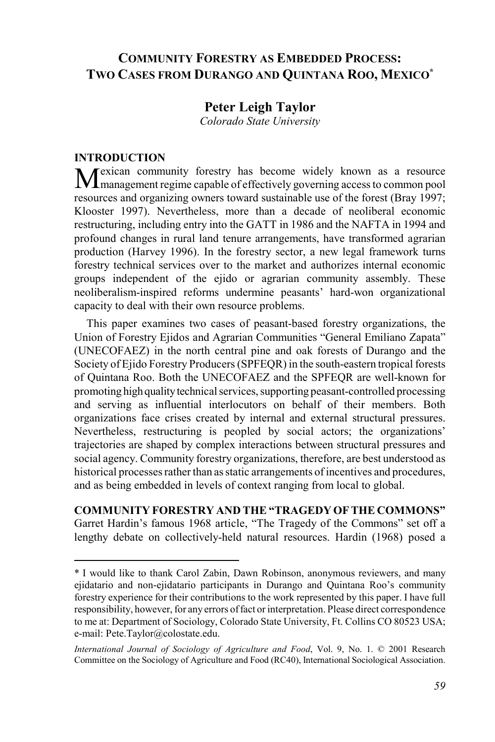# **COMMUNITY FORESTRY AS EMBEDDED PROCESS: TWO CASES FROM DURANGO AND QUINTANA ROO, MEXICO\***

## **Peter Leigh Taylor**

*Colorado State University*

#### **INTRODUCTION**

Mexican community forestry has become widely known as a resource management regime capable of effectively governing access to common pool resources and organizing owners toward sustainable use of the forest (Bray 1997; Klooster 1997). Nevertheless, more than a decade of neoliberal economic restructuring, including entry into the GATT in 1986 and the NAFTA in 1994 and profound changes in rural land tenure arrangements, have transformed agrarian production (Harvey 1996). In the forestry sector, a new legal framework turns forestry technical services over to the market and authorizes internal economic groups independent of the ejido or agrarian community assembly. These neoliberalism-inspired reforms undermine peasants' hard-won organizational capacity to deal with their own resource problems.

This paper examines two cases of peasant-based forestry organizations, the Union of Forestry Ejidos and Agrarian Communities "General Emiliano Zapata" (UNECOFAEZ) in the north central pine and oak forests of Durango and the Society of Ejido Forestry Producers (SPFEQR) in the south-eastern tropical forests of Quintana Roo. Both the UNECOFAEZ and the SPFEQR are well-known for promoting high quality technical services, supporting peasant-controlled processing and serving as influential interlocutors on behalf of their members. Both organizations face crises created by internal and external structural pressures. Nevertheless, restructuring is peopled by social actors; the organizations' trajectories are shaped by complex interactions between structural pressures and social agency. Community forestry organizations, therefore, are best understood as historical processes rather than as static arrangements of incentives and procedures, and as being embedded in levels of context ranging from local to global.

**COMMUNITY FORESTRY AND THE "TRAGEDY OF THE COMMONS"** Garret Hardin's famous 1968 article, "The Tragedy of the Commons" set off a lengthy debate on collectively-held natural resources. Hardin (1968) posed a

<sup>\*</sup> I would like to thank Carol Zabin, Dawn Robinson, anonymous reviewers, and many ejidatario and non-ejidatario participants in Durango and Quintana Roo's community forestry experience for their contributions to the work represented by this paper. I have full responsibility, however, for any errors of fact or interpretation. Please direct correspondence to me at: Department of Sociology, Colorado State University, Ft. Collins CO 80523 USA; e-mail: Pete.Taylor@colostate.edu.

*International Journal of Sociology of Agriculture and Food*, Vol. 9, No. 1. © 2001 Research Committee on the Sociology of Agriculture and Food (RC40), International Sociological Association.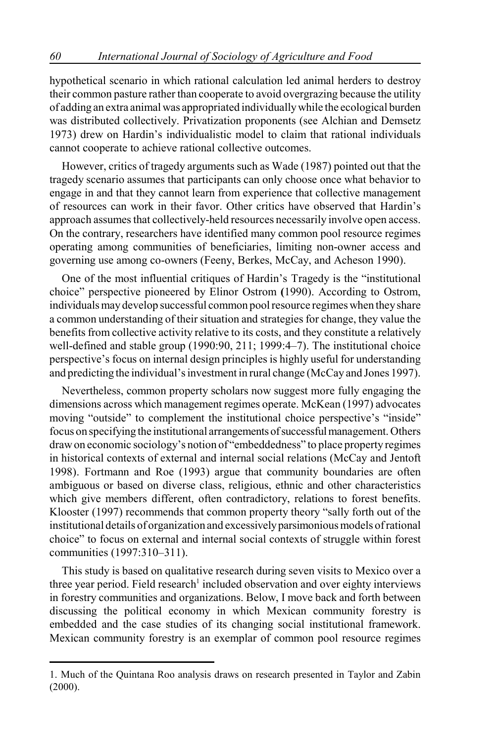hypothetical scenario in which rational calculation led animal herders to destroy their common pasture rather than cooperate to avoid overgrazing because the utility of adding an extra animal was appropriated individually while the ecological burden was distributed collectively. Privatization proponents (see Alchian and Demsetz 1973) drew on Hardin's individualistic model to claim that rational individuals cannot cooperate to achieve rational collective outcomes.

However, critics of tragedy arguments such as Wade (1987) pointed out that the tragedy scenario assumes that participants can only choose once what behavior to engage in and that they cannot learn from experience that collective management of resources can work in their favor. Other critics have observed that Hardin's approach assumes that collectively-held resources necessarily involve open access. On the contrary, researchers have identified many common pool resource regimes operating among communities of beneficiaries, limiting non-owner access and governing use among co-owners (Feeny, Berkes, McCay, and Acheson 1990).

One of the most influential critiques of Hardin's Tragedy is the "institutional choice" perspective pioneered by Elinor Ostrom **(**1990). According to Ostrom, individuals may develop successful common pool resource regimes when they share a common understanding of their situation and strategies for change, they value the benefits from collective activity relative to its costs, and they constitute a relatively well-defined and stable group (1990:90, 211; 1999:4–7). The institutional choice perspective's focus on internal design principles is highly useful for understanding and predicting the individual's investment in rural change (McCay and Jones 1997).

Nevertheless, common property scholars now suggest more fully engaging the dimensions across which management regimes operate. McKean (1997) advocates moving "outside" to complement the institutional choice perspective's "inside" focus on specifying the institutional arrangements of successful management. Others draw on economic sociology's notion of "embeddedness" to place property regimes in historical contexts of external and internal social relations (McCay and Jentoft 1998). Fortmann and Roe (1993) argue that community boundaries are often ambiguous or based on diverse class, religious, ethnic and other characteristics which give members different, often contradictory, relations to forest benefits. Klooster (1997) recommends that common property theory "sally forth out of the institutional details of organization and excessively parsimonious models of rational choice" to focus on external and internal social contexts of struggle within forest communities (1997:310–311).

This study is based on qualitative research during seven visits to Mexico over a three year period. Field research<sup>1</sup> included observation and over eighty interviews in forestry communities and organizations. Below, I move back and forth between discussing the political economy in which Mexican community forestry is embedded and the case studies of its changing social institutional framework. Mexican community forestry is an exemplar of common pool resource regimes

<sup>1.</sup> Much of the Quintana Roo analysis draws on research presented in Taylor and Zabin (2000).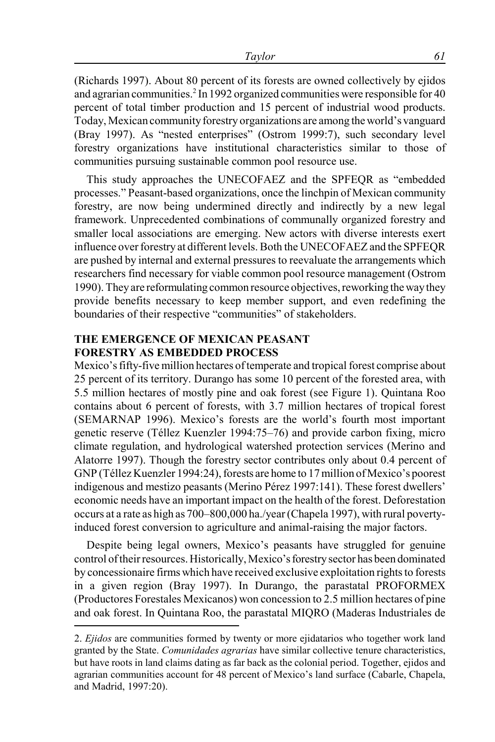(Richards 1997). About 80 percent of its forests are owned collectively by ejidos and agrarian communities.<sup>2</sup> In 1992 organized communities were responsible for 40 percent of total timber production and 15 percent of industrial wood products. Today, Mexican community forestry organizations are among the world's vanguard (Bray 1997). As "nested enterprises" (Ostrom 1999:7), such secondary level forestry organizations have institutional characteristics similar to those of communities pursuing sustainable common pool resource use.

This study approaches the UNECOFAEZ and the SPFEQR as "embedded processes." Peasant-based organizations, once the linchpin of Mexican community forestry, are now being undermined directly and indirectly by a new legal framework. Unprecedented combinations of communally organized forestry and smaller local associations are emerging. New actors with diverse interests exert influence over forestry at different levels. Both the UNECOFAEZ and the SPFEQR are pushed by internal and external pressures to reevaluate the arrangements which researchers find necessary for viable common pool resource management (Ostrom 1990). They are reformulating common resource objectives, reworking the way they provide benefits necessary to keep member support, and even redefining the boundaries of their respective "communities" of stakeholders.

### **THE EMERGENCE OF MEXICAN PEASANT FORESTRY AS EMBEDDED PROCESS**

Mexico's fifty-five million hectares of temperate and tropical forest comprise about 25 percent of its territory. Durango has some 10 percent of the forested area, with 5.5 million hectares of mostly pine and oak forest (see Figure 1). Quintana Roo contains about 6 percent of forests, with 3.7 million hectares of tropical forest (SEMARNAP 1996). Mexico's forests are the world's fourth most important genetic reserve (Téllez Kuenzler 1994:75–76) and provide carbon fixing, micro climate regulation, and hydrological watershed protection services (Merino and Alatorre 1997). Though the forestry sector contributes only about 0.4 percent of GNP (Téllez Kuenzler 1994:24), forests are home to 17 million of Mexico's poorest indigenous and mestizo peasants (Merino Pérez 1997:141). These forest dwellers' economic needs have an important impact on the health of the forest. Deforestation occurs at a rate as high as 700–800,000 ha./year (Chapela 1997), with rural povertyinduced forest conversion to agriculture and animal-raising the major factors.

Despite being legal owners, Mexico's peasants have struggled for genuine control of their resources. Historically, Mexico's forestry sector has been dominated by concessionaire firms which have received exclusive exploitation rights to forests in a given region (Bray 1997). In Durango, the parastatal PROFORMEX (Productores Forestales Mexicanos) won concession to 2.5 million hectares of pine and oak forest. In Quintana Roo, the parastatal MIQRO (Maderas Industriales de

<sup>2.</sup> *Ejidos* are communities formed by twenty or more ejidatarios who together work land granted by the State. *Comunidades agrarias* have similar collective tenure characteristics, but have roots in land claims dating as far back as the colonial period. Together, ejidos and agrarian communities account for 48 percent of Mexico's land surface (Cabarle, Chapela, and Madrid, 1997:20).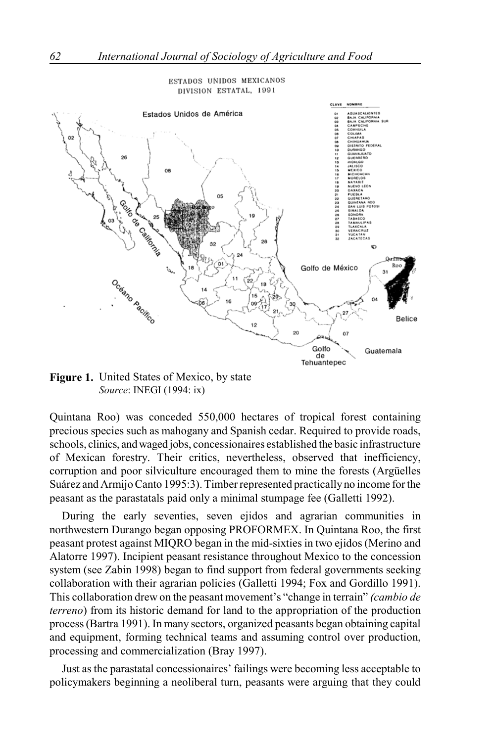

ESTADOS UNIDOS MEXICANOS DIVISION ESTATAL, 1991

**Figure 1.** United States of Mexico, by state *Source*: INEGI (1994: ix)

Quintana Roo) was conceded 550,000 hectares of tropical forest containing precious species such as mahogany and Spanish cedar. Required to provide roads, schools, clinics, and waged jobs, concessionaires established the basic infrastructure of Mexican forestry. Their critics, nevertheless, observed that inefficiency, corruption and poor silviculture encouraged them to mine the forests (Argüelles Suárez and Armijo Canto 1995:3). Timber represented practically no income for the peasant as the parastatals paid only a minimal stumpage fee (Galletti 1992).

During the early seventies, seven ejidos and agrarian communities in northwestern Durango began opposing PROFORMEX. In Quintana Roo, the first peasant protest against MIQRO began in the mid-sixties in two ejidos (Merino and Alatorre 1997). Incipient peasant resistance throughout Mexico to the concession system (see Zabin 1998) began to find support from federal governments seeking collaboration with their agrarian policies (Galletti 1994; Fox and Gordillo 1991). This collaboration drew on the peasant movement's "change in terrain" *(cambio de terreno*) from its historic demand for land to the appropriation of the production process (Bartra 1991). In many sectors, organized peasants began obtaining capital and equipment, forming technical teams and assuming control over production, processing and commercialization (Bray 1997).

Just as the parastatal concessionaires' failings were becoming less acceptable to policymakers beginning a neoliberal turn, peasants were arguing that they could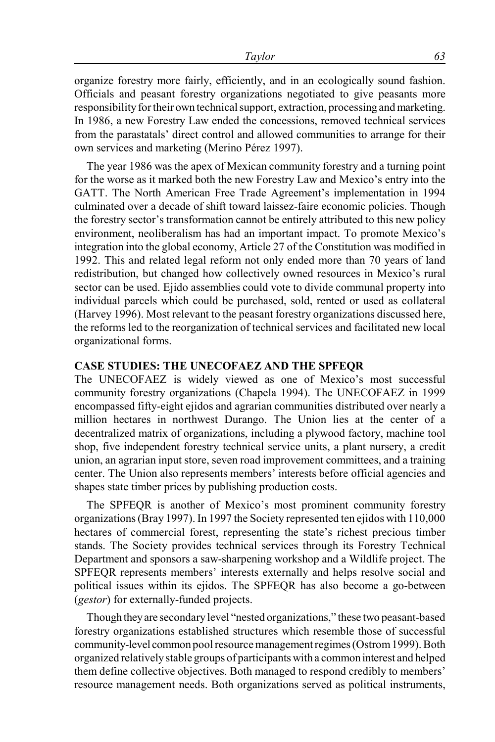organize forestry more fairly, efficiently, and in an ecologically sound fashion. Officials and peasant forestry organizations negotiated to give peasants more responsibility for their own technical support, extraction, processing and marketing. In 1986, a new Forestry Law ended the concessions, removed technical services from the parastatals' direct control and allowed communities to arrange for their own services and marketing (Merino Pérez 1997).

The year 1986 was the apex of Mexican community forestry and a turning point for the worse as it marked both the new Forestry Law and Mexico's entry into the GATT. The North American Free Trade Agreement's implementation in 1994 culminated over a decade of shift toward laissez-faire economic policies. Though the forestry sector's transformation cannot be entirely attributed to this new policy environment, neoliberalism has had an important impact. To promote Mexico's integration into the global economy, Article 27 of the Constitution was modified in 1992. This and related legal reform not only ended more than 70 years of land redistribution, but changed how collectively owned resources in Mexico's rural sector can be used. Ejido assemblies could vote to divide communal property into individual parcels which could be purchased, sold, rented or used as collateral (Harvey 1996). Most relevant to the peasant forestry organizations discussed here, the reforms led to the reorganization of technical services and facilitated new local organizational forms.

### **CASE STUDIES: THE UNECOFAEZ AND THE SPFEQR**

The UNECOFAEZ is widely viewed as one of Mexico's most successful community forestry organizations (Chapela 1994). The UNECOFAEZ in 1999 encompassed fifty-eight ejidos and agrarian communities distributed over nearly a million hectares in northwest Durango. The Union lies at the center of a decentralized matrix of organizations, including a plywood factory, machine tool shop, five independent forestry technical service units, a plant nursery, a credit union, an agrarian input store, seven road improvement committees, and a training center. The Union also represents members' interests before official agencies and shapes state timber prices by publishing production costs.

The SPFEQR is another of Mexico's most prominent community forestry organizations (Bray 1997). In 1997 the Society represented ten ejidos with 110,000 hectares of commercial forest, representing the state's richest precious timber stands. The Society provides technical services through its Forestry Technical Department and sponsors a saw-sharpening workshop and a Wildlife project. The SPFEQR represents members' interests externally and helps resolve social and political issues within its ejidos. The SPFEQR has also become a go-between (*gestor*) for externally-funded projects.

Though they are secondary level "nested organizations," these two peasant-based forestry organizations established structures which resemble those of successful community-level common pool resource management regimes (Ostrom 1999). Both organized relatively stable groups of participants with a common interest and helped them define collective objectives. Both managed to respond credibly to members' resource management needs. Both organizations served as political instruments,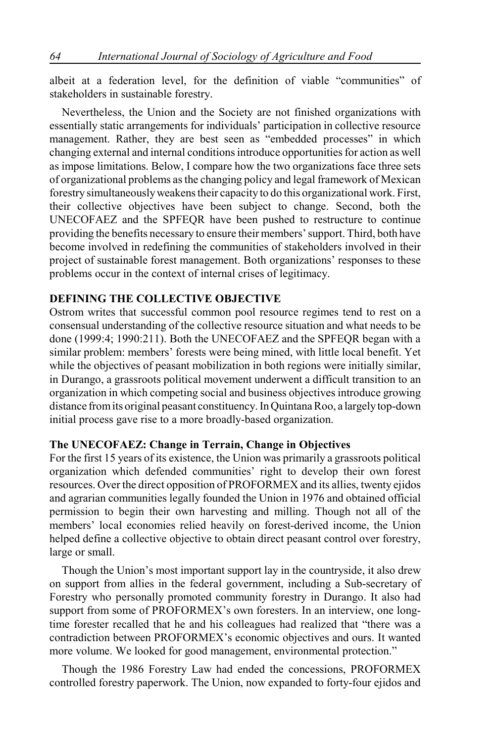albeit at a federation level, for the definition of viable "communities" of stakeholders in sustainable forestry.

Nevertheless, the Union and the Society are not finished organizations with essentially static arrangements for individuals' participation in collective resource management. Rather, they are best seen as "embedded processes" in which changing external and internal conditions introduce opportunities for action as well as impose limitations. Below, I compare how the two organizations face three sets of organizational problems as the changing policy and legal framework of Mexican forestry simultaneously weakens their capacity to do this organizational work. First, their collective objectives have been subject to change. Second, both the UNECOFAEZ and the SPFEQR have been pushed to restructure to continue providing the benefits necessary to ensure their members' support. Third, both have become involved in redefining the communities of stakeholders involved in their project of sustainable forest management. Both organizations' responses to these problems occur in the context of internal crises of legitimacy.

#### **DEFINING THE COLLECTIVE OBJECTIVE**

Ostrom writes that successful common pool resource regimes tend to rest on a consensual understanding of the collective resource situation and what needs to be done (1999:4; 1990:211). Both the UNECOFAEZ and the SPFEQR began with a similar problem: members' forests were being mined, with little local benefit. Yet while the objectives of peasant mobilization in both regions were initially similar, in Durango, a grassroots political movement underwent a difficult transition to an organization in which competing social and business objectives introduce growing distance from its original peasant constituency. In Quintana Roo, a largely top-down initial process gave rise to a more broadly-based organization.

### **The UNECOFAEZ: Change in Terrain, Change in Objectives**

For the first 15 years of its existence, the Union was primarily a grassroots political organization which defended communities' right to develop their own forest resources. Over the direct opposition of PROFORMEX and its allies, twenty ejidos and agrarian communities legally founded the Union in 1976 and obtained official permission to begin their own harvesting and milling. Though not all of the members' local economies relied heavily on forest-derived income, the Union helped define a collective objective to obtain direct peasant control over forestry, large or small.

Though the Union's most important support lay in the countryside, it also drew on support from allies in the federal government, including a Sub-secretary of Forestry who personally promoted community forestry in Durango. It also had support from some of PROFORMEX's own foresters. In an interview, one longtime forester recalled that he and his colleagues had realized that "there was a contradiction between PROFORMEX's economic objectives and ours. It wanted more volume. We looked for good management, environmental protection."

Though the 1986 Forestry Law had ended the concessions, PROFORMEX controlled forestry paperwork. The Union, now expanded to forty-four ejidos and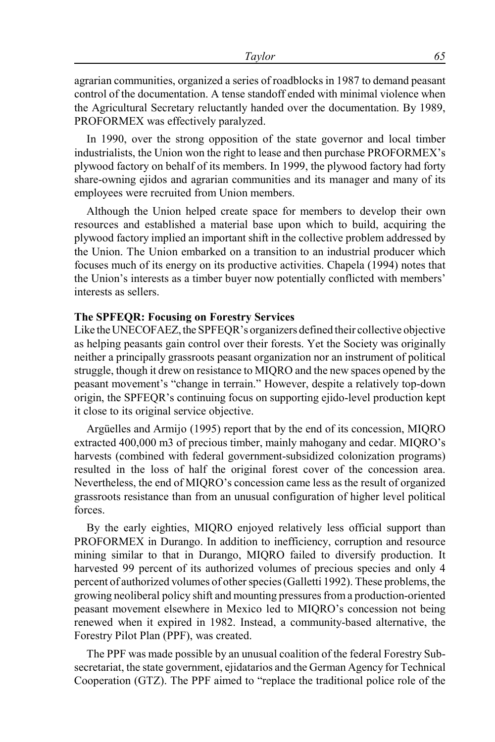agrarian communities, organized a series of roadblocks in 1987 to demand peasant control of the documentation. A tense standoff ended with minimal violence when the Agricultural Secretary reluctantly handed over the documentation. By 1989, PROFORMEX was effectively paralyzed.

In 1990, over the strong opposition of the state governor and local timber industrialists, the Union won the right to lease and then purchase PROFORMEX's plywood factory on behalf of its members. In 1999, the plywood factory had forty share-owning ejidos and agrarian communities and its manager and many of its employees were recruited from Union members.

Although the Union helped create space for members to develop their own resources and established a material base upon which to build, acquiring the plywood factory implied an important shift in the collective problem addressed by the Union. The Union embarked on a transition to an industrial producer which focuses much of its energy on its productive activities. Chapela (1994) notes that the Union's interests as a timber buyer now potentially conflicted with members' interests as sellers.

#### **The SPFEQR: Focusing on Forestry Services**

Like the UNECOFAEZ, the SPFEQR's organizers defined their collective objective as helping peasants gain control over their forests. Yet the Society was originally neither a principally grassroots peasant organization nor an instrument of political struggle, though it drew on resistance to MIQRO and the new spaces opened by the peasant movement's "change in terrain." However, despite a relatively top-down origin, the SPFEQR's continuing focus on supporting ejido-level production kept it close to its original service objective.

Argüelles and Armijo (1995) report that by the end of its concession, MIQRO extracted 400,000 m3 of precious timber, mainly mahogany and cedar. MIQRO's harvests (combined with federal government-subsidized colonization programs) resulted in the loss of half the original forest cover of the concession area. Nevertheless, the end of MIQRO's concession came less as the result of organized grassroots resistance than from an unusual configuration of higher level political forces.

By the early eighties, MIQRO enjoyed relatively less official support than PROFORMEX in Durango. In addition to inefficiency, corruption and resource mining similar to that in Durango, MIQRO failed to diversify production. It harvested 99 percent of its authorized volumes of precious species and only 4 percent of authorized volumes of other species (Galletti 1992). These problems, the growing neoliberal policy shift and mounting pressures from a production-oriented peasant movement elsewhere in Mexico led to MIQRO's concession not being renewed when it expired in 1982. Instead, a community-based alternative, the Forestry Pilot Plan (PPF), was created.

The PPF was made possible by an unusual coalition of the federal Forestry Subsecretariat, the state government, ejidatarios and the German Agency for Technical Cooperation (GTZ). The PPF aimed to "replace the traditional police role of the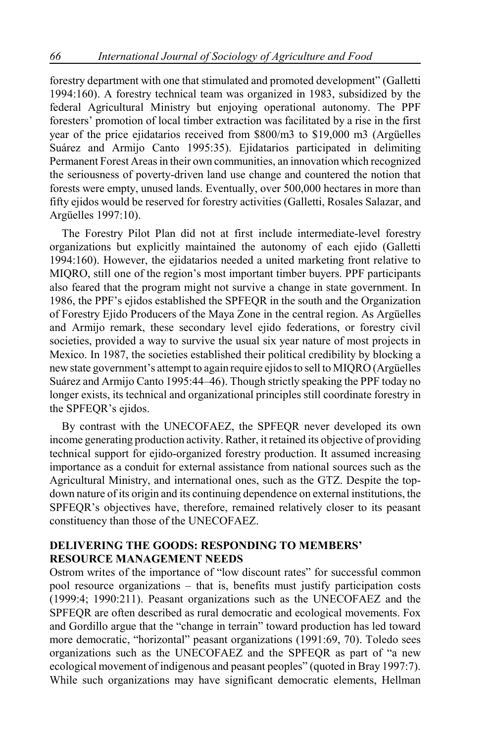forestry department with one that stimulated and promoted development" (Galletti 1994:160). A forestry technical team was organized in 1983, subsidized by the federal Agricultural Ministry but enjoying operational autonomy. The PPF foresters' promotion of local timber extraction was facilitated by a rise in the first year of the price ejidatarios received from \$800/m3 to \$19,000 m3 (Argüelles Suárez and Armijo Canto 1995:35). Ejidatarios participated in delimiting Permanent Forest Areas in their own communities, an innovation which recognized the seriousness of poverty-driven land use change and countered the notion that forests were empty, unused lands. Eventually, over 500,000 hectares in more than fifty ejidos would be reserved for forestry activities (Galletti, Rosales Salazar, and Argüelles 1997:10).

The Forestry Pilot Plan did not at first include intermediate-level forestry organizations but explicitly maintained the autonomy of each ejido (Galletti 1994:160). However, the ejidatarios needed a united marketing front relative to MIQRO, still one of the region's most important timber buyers. PPF participants also feared that the program might not survive a change in state government. In 1986, the PPF's ejidos established the SPFEQR in the south and the Organization of Forestry Ejido Producers of the Maya Zone in the central region. As Argüelles and Armijo remark, these secondary level ejido federations, or forestry civil societies, provided a way to survive the usual six year nature of most projects in Mexico. In 1987, the societies established their political credibility by blocking a new state government's attempt to again require ejidos to sell to MIQRO (Argüelles Suárez and Armijo Canto 1995:44–46). Though strictly speaking the PPF today no longer exists, its technical and organizational principles still coordinate forestry in the SPFEQR's ejidos.

By contrast with the UNECOFAEZ, the SPFEQR never developed its own income generating production activity. Rather, it retained its objective of providing technical support for ejido-organized forestry production. It assumed increasing importance as a conduit for external assistance from national sources such as the Agricultural Ministry, and international ones, such as the GTZ. Despite the topdown nature of its origin and its continuing dependence on external institutions, the SPFEQR's objectives have, therefore, remained relatively closer to its peasant constituency than those of the UNECOFAEZ.

#### **DELIVERING THE GOODS: RESPONDING TO MEMBERS' RESOURCE MANAGEMENT NEEDS**

Ostrom writes of the importance of "low discount rates" for successful common pool resource organizations – that is, benefits must justify participation costs (1999:4; 1990:211). Peasant organizations such as the UNECOFAEZ and the SPFEQR are often described as rural democratic and ecological movements. Fox and Gordillo argue that the "change in terrain" toward production has led toward more democratic, "horizontal" peasant organizations (1991:69, 70). Toledo sees organizations such as the UNECOFAEZ and the SPFEQR as part of "a new ecological movement of indigenous and peasant peoples" (quoted in Bray 1997:7). While such organizations may have significant democratic elements, Hellman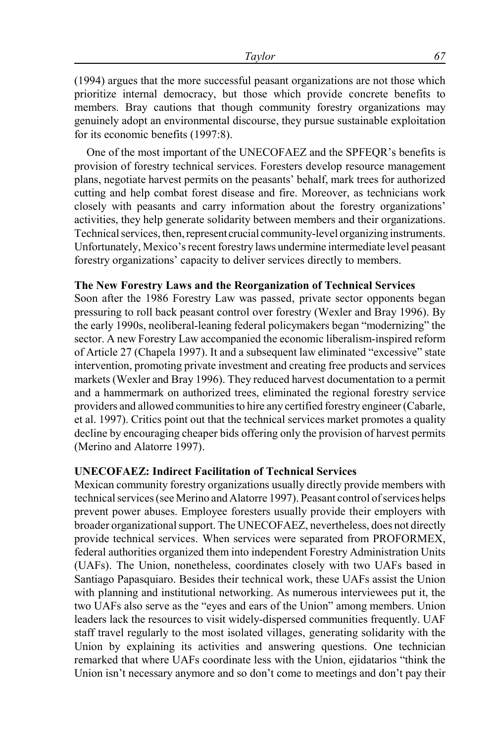(1994) argues that the more successful peasant organizations are not those which prioritize internal democracy, but those which provide concrete benefits to members. Bray cautions that though community forestry organizations may genuinely adopt an environmental discourse, they pursue sustainable exploitation for its economic benefits (1997:8).

One of the most important of the UNECOFAEZ and the SPFEQR's benefits is provision of forestry technical services. Foresters develop resource management plans, negotiate harvest permits on the peasants' behalf, mark trees for authorized cutting and help combat forest disease and fire. Moreover, as technicians work closely with peasants and carry information about the forestry organizations' activities, they help generate solidarity between members and their organizations. Technical services, then, represent crucial community-level organizing instruments. Unfortunately, Mexico's recent forestry laws undermine intermediate level peasant forestry organizations' capacity to deliver services directly to members.

#### **The New Forestry Laws and the Reorganization of Technical Services**

Soon after the 1986 Forestry Law was passed, private sector opponents began pressuring to roll back peasant control over forestry (Wexler and Bray 1996). By the early 1990s, neoliberal-leaning federal policymakers began "modernizing" the sector. A new Forestry Law accompanied the economic liberalism-inspired reform of Article 27 (Chapela 1997). It and a subsequent law eliminated "excessive" state intervention, promoting private investment and creating free products and services markets (Wexler and Bray 1996). They reduced harvest documentation to a permit and a hammermark on authorized trees, eliminated the regional forestry service providers and allowed communities to hire any certified forestry engineer (Cabarle, et al. 1997). Critics point out that the technical services market promotes a quality decline by encouraging cheaper bids offering only the provision of harvest permits (Merino and Alatorre 1997).

### **UNECOFAEZ: Indirect Facilitation of Technical Services**

Mexican community forestry organizations usually directly provide members with technical services (see Merino and Alatorre 1997). Peasant control of services helps prevent power abuses. Employee foresters usually provide their employers with broader organizational support. The UNECOFAEZ, nevertheless, does not directly provide technical services. When services were separated from PROFORMEX, federal authorities organized them into independent Forestry Administration Units (UAFs). The Union, nonetheless, coordinates closely with two UAFs based in Santiago Papasquiaro. Besides their technical work, these UAFs assist the Union with planning and institutional networking. As numerous interviewees put it, the two UAFs also serve as the "eyes and ears of the Union" among members. Union leaders lack the resources to visit widely-dispersed communities frequently. UAF staff travel regularly to the most isolated villages, generating solidarity with the Union by explaining its activities and answering questions. One technician remarked that where UAFs coordinate less with the Union, ejidatarios "think the Union isn't necessary anymore and so don't come to meetings and don't pay their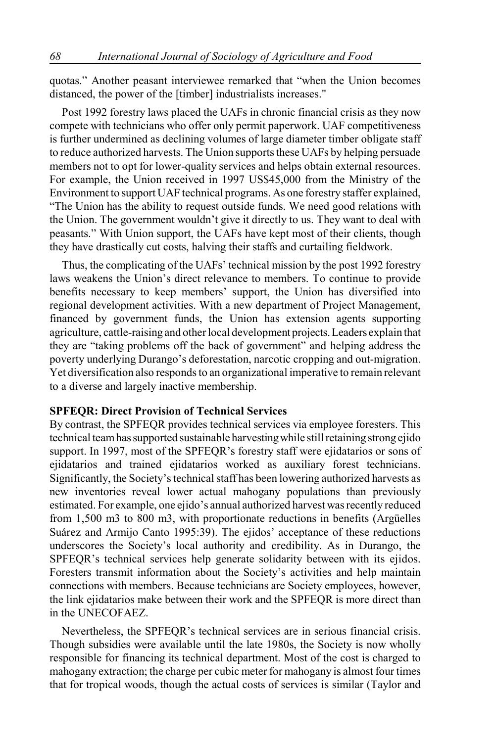quotas." Another peasant interviewee remarked that "when the Union becomes distanced, the power of the [timber] industrialists increases."

Post 1992 forestry laws placed the UAFs in chronic financial crisis as they now compete with technicians who offer only permit paperwork. UAF competitiveness is further undermined as declining volumes of large diameter timber obligate staff to reduce authorized harvests. The Union supports these UAFs by helping persuade members not to opt for lower-quality services and helps obtain external resources. For example, the Union received in 1997 US\$45,000 from the Ministry of the Environment to support UAF technical programs. As one forestry staffer explained, "The Union has the ability to request outside funds. We need good relations with the Union. The government wouldn't give it directly to us. They want to deal with peasants." With Union support, the UAFs have kept most of their clients, though they have drastically cut costs, halving their staffs and curtailing fieldwork.

Thus, the complicating of the UAFs' technical mission by the post 1992 forestry laws weakens the Union's direct relevance to members. To continue to provide benefits necessary to keep members' support, the Union has diversified into regional development activities. With a new department of Project Management, financed by government funds, the Union has extension agents supporting agriculture, cattle-raising and other local development projects. Leaders explain that they are "taking problems off the back of government" and helping address the poverty underlying Durango's deforestation, narcotic cropping and out-migration. Yet diversification also responds to an organizational imperative to remain relevant to a diverse and largely inactive membership.

#### **SPFEQR: Direct Provision of Technical Services**

By contrast, the SPFEQR provides technical services via employee foresters. This technical team has supported sustainable harvesting while still retaining strong ejido support. In 1997, most of the SPFEQR's forestry staff were ejidatarios or sons of ejidatarios and trained ejidatarios worked as auxiliary forest technicians. Significantly, the Society's technical staff has been lowering authorized harvests as new inventories reveal lower actual mahogany populations than previously estimated. For example, one ejido's annual authorized harvest was recently reduced from 1,500 m3 to 800 m3, with proportionate reductions in benefits (Argüelles Suárez and Armijo Canto 1995:39). The ejidos' acceptance of these reductions underscores the Society's local authority and credibility. As in Durango, the SPFEQR's technical services help generate solidarity between with its ejidos. Foresters transmit information about the Society's activities and help maintain connections with members. Because technicians are Society employees, however, the link ejidatarios make between their work and the SPFEQR is more direct than in the UNECOFAEZ.

Nevertheless, the SPFEQR's technical services are in serious financial crisis. Though subsidies were available until the late 1980s, the Society is now wholly responsible for financing its technical department. Most of the cost is charged to mahogany extraction; the charge per cubic meter for mahogany is almost four times that for tropical woods, though the actual costs of services is similar (Taylor and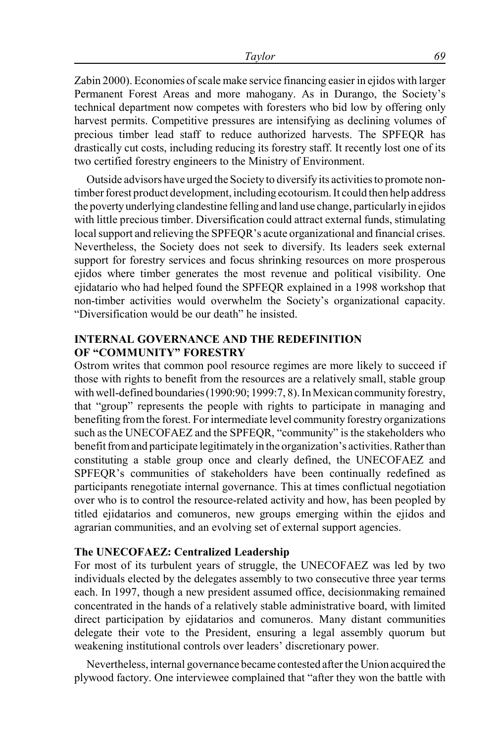Zabin 2000). Economies of scale make service financing easier in ejidos with larger Permanent Forest Areas and more mahogany. As in Durango, the Society's technical department now competes with foresters who bid low by offering only harvest permits. Competitive pressures are intensifying as declining volumes of precious timber lead staff to reduce authorized harvests. The SPFEQR has drastically cut costs, including reducing its forestry staff. It recently lost one of its two certified forestry engineers to the Ministry of Environment.

Outside advisors have urged the Society to diversify its activities to promote nontimber forest product development, including ecotourism. It could then help address the poverty underlying clandestine felling and land use change, particularly in ejidos with little precious timber. Diversification could attract external funds, stimulating local support and relieving the SPFEQR's acute organizational and financial crises. Nevertheless, the Society does not seek to diversify. Its leaders seek external support for forestry services and focus shrinking resources on more prosperous ejidos where timber generates the most revenue and political visibility. One ejidatario who had helped found the SPFEQR explained in a 1998 workshop that non-timber activities would overwhelm the Society's organizational capacity. "Diversification would be our death" he insisted.

### **INTERNAL GOVERNANCE AND THE REDEFINITION OF "COMMUNITY" FORESTRY**

Ostrom writes that common pool resource regimes are more likely to succeed if those with rights to benefit from the resources are a relatively small, stable group with well-defined boundaries (1990:90; 1999:7, 8). In Mexican community forestry, that "group" represents the people with rights to participate in managing and benefiting from the forest. For intermediate level community forestry organizations such as the UNECOFAEZ and the SPFEQR, "community" is the stakeholders who benefit from and participate legitimately in the organization's activities. Rather than constituting a stable group once and clearly defined, the UNECOFAEZ and SPFEQR's communities of stakeholders have been continually redefined as participants renegotiate internal governance. This at times conflictual negotiation over who is to control the resource-related activity and how, has been peopled by titled ejidatarios and comuneros, new groups emerging within the ejidos and agrarian communities, and an evolving set of external support agencies.

#### **The UNECOFAEZ: Centralized Leadership**

For most of its turbulent years of struggle, the UNECOFAEZ was led by two individuals elected by the delegates assembly to two consecutive three year terms each. In 1997, though a new president assumed office, decisionmaking remained concentrated in the hands of a relatively stable administrative board, with limited direct participation by ejidatarios and comuneros. Many distant communities delegate their vote to the President, ensuring a legal assembly quorum but weakening institutional controls over leaders' discretionary power.

Nevertheless, internal governance became contested after the Union acquired the plywood factory. One interviewee complained that "after they won the battle with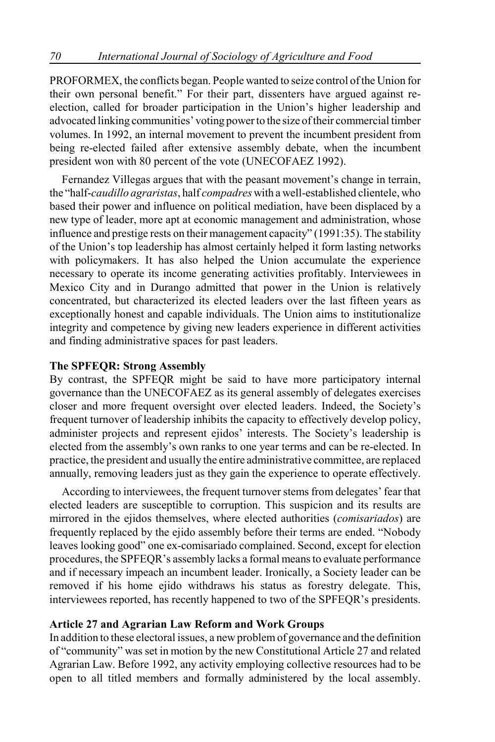PROFORMEX, the conflicts began. People wanted to seize control of the Union for their own personal benefit." For their part, dissenters have argued against reelection, called for broader participation in the Union's higher leadership and advocated linking communities' voting power to the size of their commercial timber volumes. In 1992, an internal movement to prevent the incumbent president from being re-elected failed after extensive assembly debate, when the incumbent president won with 80 percent of the vote (UNECOFAEZ 1992).

Fernandez Villegas argues that with the peasant movement's change in terrain, the "half-*caudillo agraristas*, half *compadres* with a well-established clientele, who based their power and influence on political mediation, have been displaced by a new type of leader, more apt at economic management and administration, whose influence and prestige rests on their management capacity" (1991:35). The stability of the Union's top leadership has almost certainly helped it form lasting networks with policymakers. It has also helped the Union accumulate the experience necessary to operate its income generating activities profitably. Interviewees in Mexico City and in Durango admitted that power in the Union is relatively concentrated, but characterized its elected leaders over the last fifteen years as exceptionally honest and capable individuals. The Union aims to institutionalize integrity and competence by giving new leaders experience in different activities and finding administrative spaces for past leaders.

#### **The SPFEQR: Strong Assembly**

By contrast, the SPFEQR might be said to have more participatory internal governance than the UNECOFAEZ as its general assembly of delegates exercises closer and more frequent oversight over elected leaders. Indeed, the Society's frequent turnover of leadership inhibits the capacity to effectively develop policy, administer projects and represent ejidos' interests. The Society's leadership is elected from the assembly's own ranks to one year terms and can be re-elected. In practice, the president and usually the entire administrative committee, are replaced annually, removing leaders just as they gain the experience to operate effectively.

According to interviewees, the frequent turnover stems from delegates' fear that elected leaders are susceptible to corruption. This suspicion and its results are mirrored in the ejidos themselves, where elected authorities (*comisariados*) are frequently replaced by the ejido assembly before their terms are ended. "Nobody leaves looking good" one ex-comisariado complained. Second, except for election procedures, the SPFEQR's assembly lacks a formal means to evaluate performance and if necessary impeach an incumbent leader. Ironically, a Society leader can be removed if his home ejido withdraws his status as forestry delegate. This, interviewees reported, has recently happened to two of the SPFEQR's presidents.

#### **Article 27 and Agrarian Law Reform and Work Groups**

In addition to these electoral issues, a new problem of governance and the definition of "community" was set in motion by the new Constitutional Article 27 and related Agrarian Law. Before 1992, any activity employing collective resources had to be open to all titled members and formally administered by the local assembly.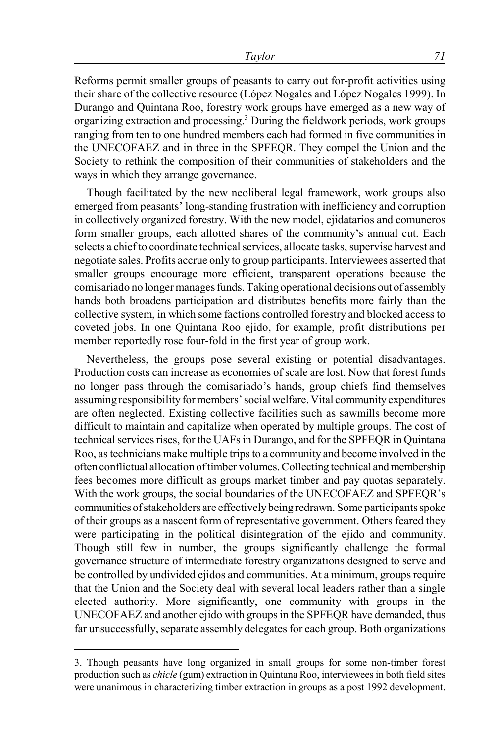Reforms permit smaller groups of peasants to carry out for-profit activities using their share of the collective resource (López Nogales and López Nogales 1999). In Durango and Quintana Roo, forestry work groups have emerged as a new way of organizing extraction and processing.<sup>3</sup> During the fieldwork periods, work groups ranging from ten to one hundred members each had formed in five communities in the UNECOFAEZ and in three in the SPFEQR. They compel the Union and the Society to rethink the composition of their communities of stakeholders and the ways in which they arrange governance.

Though facilitated by the new neoliberal legal framework, work groups also emerged from peasants' long-standing frustration with inefficiency and corruption in collectively organized forestry. With the new model, ejidatarios and comuneros form smaller groups, each allotted shares of the community's annual cut. Each selects a chief to coordinate technical services, allocate tasks, supervise harvest and negotiate sales. Profits accrue only to group participants. Interviewees asserted that smaller groups encourage more efficient, transparent operations because the comisariado no longer manages funds. Taking operational decisions out of assembly hands both broadens participation and distributes benefits more fairly than the collective system, in which some factions controlled forestry and blocked access to coveted jobs. In one Quintana Roo ejido, for example, profit distributions per member reportedly rose four-fold in the first year of group work.

Nevertheless, the groups pose several existing or potential disadvantages. Production costs can increase as economies of scale are lost. Now that forest funds no longer pass through the comisariado's hands, group chiefs find themselves assuming responsibility for members' social welfare. Vital community expenditures are often neglected. Existing collective facilities such as sawmills become more difficult to maintain and capitalize when operated by multiple groups. The cost of technical services rises, for the UAFs in Durango, and for the SPFEQR in Quintana Roo, as technicians make multiple trips to a community and become involved in the often conflictual allocation of timber volumes. Collecting technical and membership fees becomes more difficult as groups market timber and pay quotas separately. With the work groups, the social boundaries of the UNECOFAEZ and SPFEQR's communities of stakeholders are effectively being redrawn. Some participants spoke of their groups as a nascent form of representative government. Others feared they were participating in the political disintegration of the ejido and community. Though still few in number, the groups significantly challenge the formal governance structure of intermediate forestry organizations designed to serve and be controlled by undivided ejidos and communities. At a minimum, groups require that the Union and the Society deal with several local leaders rather than a single elected authority. More significantly, one community with groups in the UNECOFAEZ and another ejido with groups in the SPFEQR have demanded, thus far unsuccessfully, separate assembly delegates for each group. Both organizations

<sup>3.</sup> Though peasants have long organized in small groups for some non-timber forest production such as *chicle* (gum) extraction in Quintana Roo, interviewees in both field sites were unanimous in characterizing timber extraction in groups as a post 1992 development.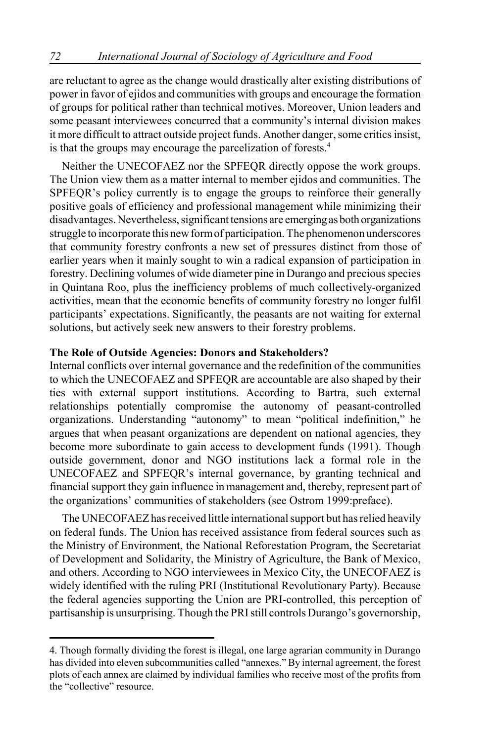are reluctant to agree as the change would drastically alter existing distributions of power in favor of ejidos and communities with groups and encourage the formation of groups for political rather than technical motives. Moreover, Union leaders and some peasant interviewees concurred that a community's internal division makes it more difficult to attract outside project funds. Another danger, some critics insist, is that the groups may encourage the parcelization of forests.<sup>4</sup>

Neither the UNECOFAEZ nor the SPFEQR directly oppose the work groups. The Union view them as a matter internal to member ejidos and communities. The SPFEQR's policy currently is to engage the groups to reinforce their generally positive goals of efficiency and professional management while minimizing their disadvantages. Nevertheless, significant tensions are emerging as both organizations struggle to incorporate this new form of participation. The phenomenon underscores that community forestry confronts a new set of pressures distinct from those of earlier years when it mainly sought to win a radical expansion of participation in forestry. Declining volumes of wide diameter pine in Durango and precious species in Quintana Roo, plus the inefficiency problems of much collectively-organized activities, mean that the economic benefits of community forestry no longer fulfil participants' expectations. Significantly, the peasants are not waiting for external solutions, but actively seek new answers to their forestry problems.

### **The Role of Outside Agencies: Donors and Stakeholders?**

Internal conflicts over internal governance and the redefinition of the communities to which the UNECOFAEZ and SPFEQR are accountable are also shaped by their ties with external support institutions. According to Bartra, such external relationships potentially compromise the autonomy of peasant-controlled organizations. Understanding "autonomy" to mean "political indefinition," he argues that when peasant organizations are dependent on national agencies, they become more subordinate to gain access to development funds (1991). Though outside government, donor and NGO institutions lack a formal role in the UNECOFAEZ and SPFEQR's internal governance, by granting technical and financial support they gain influence in management and, thereby, represent part of the organizations' communities of stakeholders (see Ostrom 1999:preface).

The UNECOFAEZ has received little international support but has relied heavily on federal funds. The Union has received assistance from federal sources such as the Ministry of Environment, the National Reforestation Program, the Secretariat of Development and Solidarity, the Ministry of Agriculture, the Bank of Mexico, and others. According to NGO interviewees in Mexico City, the UNECOFAEZ is widely identified with the ruling PRI (Institutional Revolutionary Party). Because the federal agencies supporting the Union are PRI-controlled, this perception of partisanship is unsurprising. Though the PRI still controls Durango's governorship,

<sup>4.</sup> Though formally dividing the forest is illegal, one large agrarian community in Durango has divided into eleven subcommunities called "annexes." By internal agreement, the forest plots of each annex are claimed by individual families who receive most of the profits from the "collective" resource.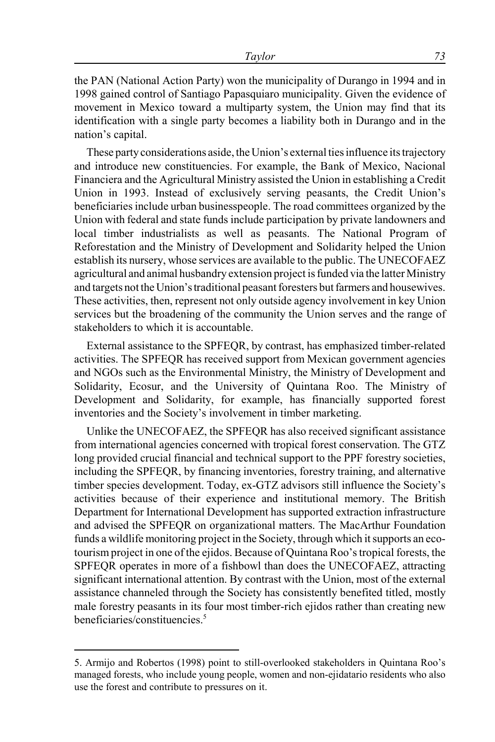the PAN (National Action Party) won the municipality of Durango in 1994 and in 1998 gained control of Santiago Papasquiaro municipality. Given the evidence of movement in Mexico toward a multiparty system, the Union may find that its identification with a single party becomes a liability both in Durango and in the nation's capital.

These party considerations aside, the Union's external ties influence its trajectory and introduce new constituencies. For example, the Bank of Mexico, Nacional Financiera and the Agricultural Ministry assisted the Union in establishing a Credit Union in 1993. Instead of exclusively serving peasants, the Credit Union's beneficiaries include urban businesspeople. The road committees organized by the Union with federal and state funds include participation by private landowners and local timber industrialists as well as peasants. The National Program of Reforestation and the Ministry of Development and Solidarity helped the Union establish its nursery, whose services are available to the public. The UNECOFAEZ agricultural and animal husbandry extension project is funded via the latter Ministry and targets not the Union's traditional peasant foresters but farmers and housewives. These activities, then, represent not only outside agency involvement in key Union services but the broadening of the community the Union serves and the range of stakeholders to which it is accountable.

External assistance to the SPFEQR, by contrast, has emphasized timber-related activities. The SPFEQR has received support from Mexican government agencies and NGOs such as the Environmental Ministry, the Ministry of Development and Solidarity, Ecosur, and the University of Quintana Roo. The Ministry of Development and Solidarity, for example, has financially supported forest inventories and the Society's involvement in timber marketing.

Unlike the UNECOFAEZ, the SPFEQR has also received significant assistance from international agencies concerned with tropical forest conservation. The GTZ long provided crucial financial and technical support to the PPF forestry societies, including the SPFEQR, by financing inventories, forestry training, and alternative timber species development. Today, ex-GTZ advisors still influence the Society's activities because of their experience and institutional memory. The British Department for International Development has supported extraction infrastructure and advised the SPFEQR on organizational matters. The MacArthur Foundation funds a wildlife monitoring project in the Society, through which it supports an ecotourism project in one of the ejidos. Because of Quintana Roo's tropical forests, the SPFEQR operates in more of a fishbowl than does the UNECOFAEZ, attracting significant international attention. By contrast with the Union, most of the external assistance channeled through the Society has consistently benefited titled, mostly male forestry peasants in its four most timber-rich ejidos rather than creating new beneficiaries/constituencies.<sup>5</sup>

<sup>5.</sup> Armijo and Robertos (1998) point to still-overlooked stakeholders in Quintana Roo's managed forests, who include young people, women and non-ejidatario residents who also use the forest and contribute to pressures on it.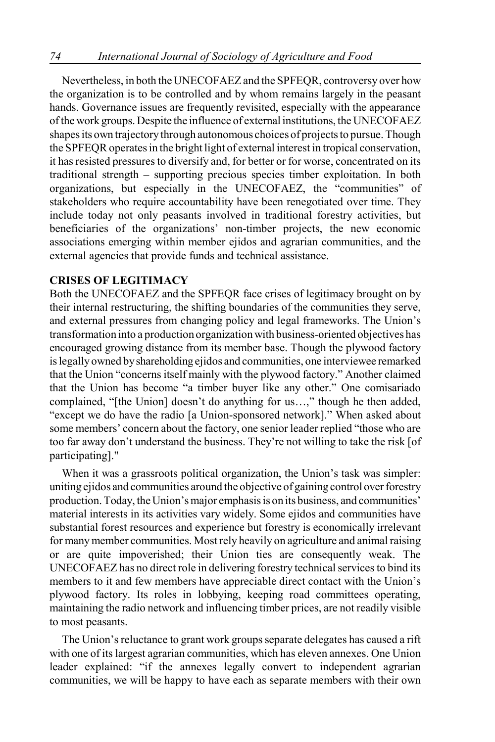Nevertheless, in both the UNECOFAEZ and the SPFEQR, controversy over how the organization is to be controlled and by whom remains largely in the peasant hands. Governance issues are frequently revisited, especially with the appearance of the work groups. Despite the influence of external institutions, the UNECOFAEZ shapes its own trajectory through autonomous choices of projects to pursue. Though the SPFEQR operates in the bright light of external interest in tropical conservation, it has resisted pressures to diversify and, for better or for worse, concentrated on its traditional strength – supporting precious species timber exploitation. In both organizations, but especially in the UNECOFAEZ, the "communities" of stakeholders who require accountability have been renegotiated over time. They include today not only peasants involved in traditional forestry activities, but beneficiaries of the organizations' non-timber projects, the new economic associations emerging within member ejidos and agrarian communities, and the external agencies that provide funds and technical assistance.

### **CRISES OF LEGITIMACY**

Both the UNECOFAEZ and the SPFEQR face crises of legitimacy brought on by their internal restructuring, the shifting boundaries of the communities they serve, and external pressures from changing policy and legal frameworks. The Union's transformation into a production organization with business-oriented objectives has encouraged growing distance from its member base. Though the plywood factory is legally owned by shareholding ejidos and communities, one interviewee remarked that the Union "concerns itself mainly with the plywood factory." Another claimed that the Union has become "a timber buyer like any other." One comisariado complained, "[the Union] doesn't do anything for us…," though he then added, "except we do have the radio [a Union-sponsored network]." When asked about some members' concern about the factory, one senior leader replied "those who are too far away don't understand the business. They're not willing to take the risk [of participating]."

When it was a grassroots political organization, the Union's task was simpler: uniting ejidos and communities around the objective of gaining control over forestry production. Today, the Union's major emphasis is on its business, and communities' material interests in its activities vary widely. Some ejidos and communities have substantial forest resources and experience but forestry is economically irrelevant for many member communities. Most rely heavily on agriculture and animal raising or are quite impoverished; their Union ties are consequently weak. The UNECOFAEZ has no direct role in delivering forestry technical services to bind its members to it and few members have appreciable direct contact with the Union's plywood factory. Its roles in lobbying, keeping road committees operating, maintaining the radio network and influencing timber prices, are not readily visible to most peasants.

The Union's reluctance to grant work groups separate delegates has caused a rift with one of its largest agrarian communities, which has eleven annexes. One Union leader explained: "if the annexes legally convert to independent agrarian communities, we will be happy to have each as separate members with their own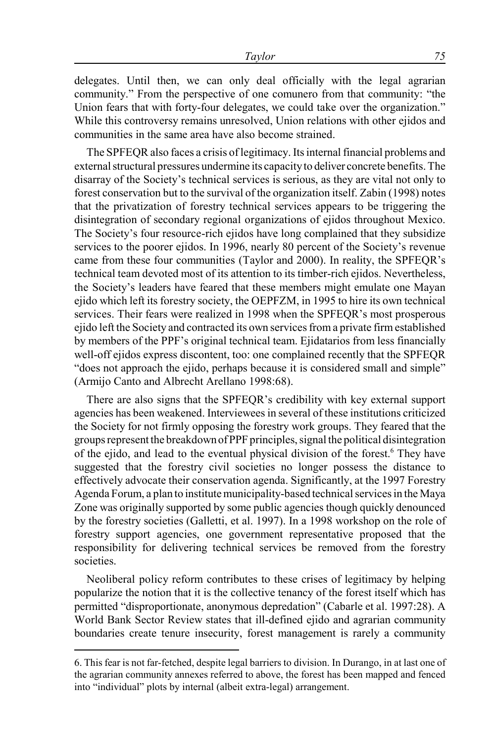delegates. Until then, we can only deal officially with the legal agrarian community." From the perspective of one comunero from that community: "the Union fears that with forty-four delegates, we could take over the organization." While this controversy remains unresolved, Union relations with other ejidos and communities in the same area have also become strained.

The SPFEQR also faces a crisis of legitimacy. Its internal financial problems and external structural pressures undermine its capacity to deliver concrete benefits. The disarray of the Society's technical services is serious, as they are vital not only to forest conservation but to the survival of the organization itself. Zabin (1998) notes that the privatization of forestry technical services appears to be triggering the disintegration of secondary regional organizations of ejidos throughout Mexico. The Society's four resource-rich ejidos have long complained that they subsidize services to the poorer ejidos. In 1996, nearly 80 percent of the Society's revenue came from these four communities (Taylor and 2000). In reality, the SPFEQR's technical team devoted most of its attention to its timber-rich ejidos. Nevertheless, the Society's leaders have feared that these members might emulate one Mayan ejido which left its forestry society, the OEPFZM, in 1995 to hire its own technical services. Their fears were realized in 1998 when the SPFEQR's most prosperous ejido left the Society and contracted its own services from a private firm established by members of the PPF's original technical team. Ejidatarios from less financially well-off ejidos express discontent, too: one complained recently that the SPFEQR "does not approach the ejido, perhaps because it is considered small and simple" (Armijo Canto and Albrecht Arellano 1998:68).

There are also signs that the SPFEQR's credibility with key external support agencies has been weakened. Interviewees in several of these institutions criticized the Society for not firmly opposing the forestry work groups. They feared that the groups represent the breakdown of PPF principles, signal the political disintegration of the ejido, and lead to the eventual physical division of the forest.<sup>6</sup> They have suggested that the forestry civil societies no longer possess the distance to effectively advocate their conservation agenda. Significantly, at the 1997 Forestry Agenda Forum, a plan to institute municipality-based technical services in the Maya Zone was originally supported by some public agencies though quickly denounced by the forestry societies (Galletti, et al. 1997). In a 1998 workshop on the role of forestry support agencies, one government representative proposed that the responsibility for delivering technical services be removed from the forestry societies.

Neoliberal policy reform contributes to these crises of legitimacy by helping popularize the notion that it is the collective tenancy of the forest itself which has permitted "disproportionate, anonymous depredation" (Cabarle et al. 1997:28). A World Bank Sector Review states that ill-defined ejido and agrarian community boundaries create tenure insecurity, forest management is rarely a community

<sup>6.</sup> This fear is not far-fetched, despite legal barriers to division. In Durango, in at last one of the agrarian community annexes referred to above, the forest has been mapped and fenced into "individual" plots by internal (albeit extra-legal) arrangement.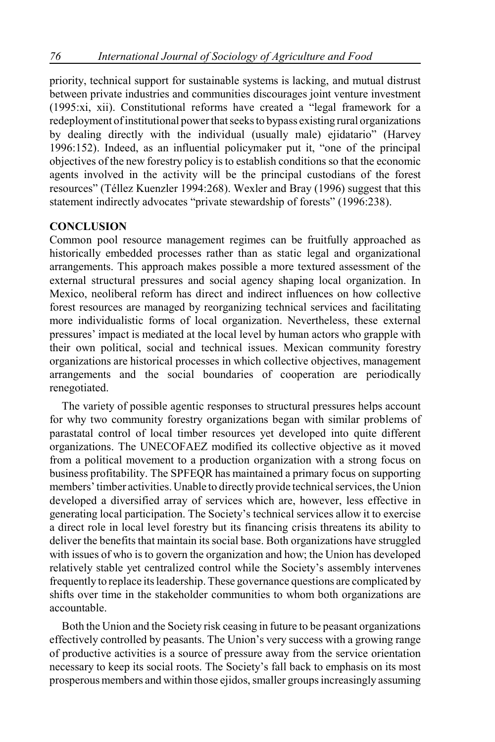priority, technical support for sustainable systems is lacking, and mutual distrust between private industries and communities discourages joint venture investment (1995:xi, xii). Constitutional reforms have created a "legal framework for a redeployment of institutional power that seeks to bypass existing rural organizations by dealing directly with the individual (usually male) ejidatario" (Harvey 1996:152). Indeed, as an influential policymaker put it, "one of the principal objectives of the new forestry policy is to establish conditions so that the economic agents involved in the activity will be the principal custodians of the forest resources" (Téllez Kuenzler 1994:268). Wexler and Bray (1996) suggest that this statement indirectly advocates "private stewardship of forests" (1996:238).

## **CONCLUSION**

Common pool resource management regimes can be fruitfully approached as historically embedded processes rather than as static legal and organizational arrangements. This approach makes possible a more textured assessment of the external structural pressures and social agency shaping local organization. In Mexico, neoliberal reform has direct and indirect influences on how collective forest resources are managed by reorganizing technical services and facilitating more individualistic forms of local organization. Nevertheless, these external pressures' impact is mediated at the local level by human actors who grapple with their own political, social and technical issues. Mexican community forestry organizations are historical processes in which collective objectives, management arrangements and the social boundaries of cooperation are periodically renegotiated.

The variety of possible agentic responses to structural pressures helps account for why two community forestry organizations began with similar problems of parastatal control of local timber resources yet developed into quite different organizations. The UNECOFAEZ modified its collective objective as it moved from a political movement to a production organization with a strong focus on business profitability. The SPFEQR has maintained a primary focus on supporting members' timber activities. Unable to directly provide technical services, the Union developed a diversified array of services which are, however, less effective in generating local participation. The Society's technical services allow it to exercise a direct role in local level forestry but its financing crisis threatens its ability to deliver the benefits that maintain its social base. Both organizations have struggled with issues of who is to govern the organization and how; the Union has developed relatively stable yet centralized control while the Society's assembly intervenes frequently to replace its leadership. These governance questions are complicated by shifts over time in the stakeholder communities to whom both organizations are accountable.

Both the Union and the Society risk ceasing in future to be peasant organizations effectively controlled by peasants. The Union's very success with a growing range of productive activities is a source of pressure away from the service orientation necessary to keep its social roots. The Society's fall back to emphasis on its most prosperous members and within those ejidos, smaller groups increasingly assuming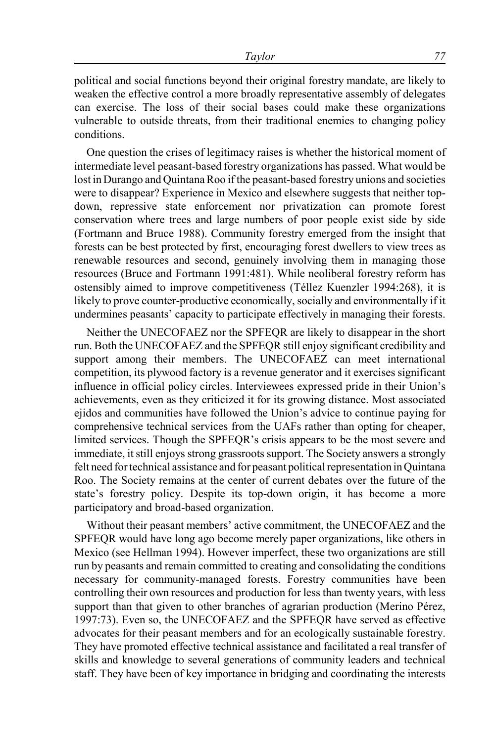political and social functions beyond their original forestry mandate, are likely to weaken the effective control a more broadly representative assembly of delegates can exercise. The loss of their social bases could make these organizations vulnerable to outside threats, from their traditional enemies to changing policy conditions.

One question the crises of legitimacy raises is whether the historical moment of intermediate level peasant-based forestry organizations has passed. What would be lost in Durango and Quintana Roo if the peasant-based forestry unions and societies were to disappear? Experience in Mexico and elsewhere suggests that neither topdown, repressive state enforcement nor privatization can promote forest conservation where trees and large numbers of poor people exist side by side (Fortmann and Bruce 1988). Community forestry emerged from the insight that forests can be best protected by first, encouraging forest dwellers to view trees as renewable resources and second, genuinely involving them in managing those resources (Bruce and Fortmann 1991:481). While neoliberal forestry reform has ostensibly aimed to improve competitiveness (Téllez Kuenzler 1994:268), it is likely to prove counter-productive economically, socially and environmentally if it undermines peasants' capacity to participate effectively in managing their forests.

Neither the UNECOFAEZ nor the SPFEQR are likely to disappear in the short run. Both the UNECOFAEZ and the SPFEQR still enjoy significant credibility and support among their members. The UNECOFAEZ can meet international competition, its plywood factory is a revenue generator and it exercises significant influence in official policy circles. Interviewees expressed pride in their Union's achievements, even as they criticized it for its growing distance. Most associated ejidos and communities have followed the Union's advice to continue paying for comprehensive technical services from the UAFs rather than opting for cheaper, limited services. Though the SPFEQR's crisis appears to be the most severe and immediate, it still enjoys strong grassroots support. The Society answers a strongly felt need for technical assistance and for peasant political representation in Quintana Roo. The Society remains at the center of current debates over the future of the state's forestry policy. Despite its top-down origin, it has become a more participatory and broad-based organization.

Without their peasant members' active commitment, the UNECOFAEZ and the SPFEQR would have long ago become merely paper organizations, like others in Mexico (see Hellman 1994). However imperfect, these two organizations are still run by peasants and remain committed to creating and consolidating the conditions necessary for community-managed forests. Forestry communities have been controlling their own resources and production for less than twenty years, with less support than that given to other branches of agrarian production (Merino Pérez, 1997:73). Even so, the UNECOFAEZ and the SPFEQR have served as effective advocates for their peasant members and for an ecologically sustainable forestry. They have promoted effective technical assistance and facilitated a real transfer of skills and knowledge to several generations of community leaders and technical staff. They have been of key importance in bridging and coordinating the interests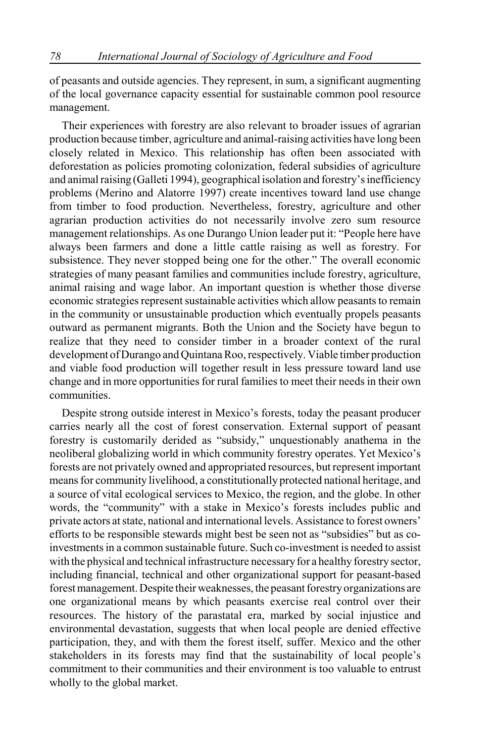of peasants and outside agencies. They represent, in sum, a significant augmenting of the local governance capacity essential for sustainable common pool resource management.

Their experiences with forestry are also relevant to broader issues of agrarian production because timber, agriculture and animal-raising activities have long been closely related in Mexico. This relationship has often been associated with deforestation as policies promoting colonization, federal subsidies of agriculture and animal raising (Galleti 1994), geographical isolation and forestry's inefficiency problems (Merino and Alatorre 1997) create incentives toward land use change from timber to food production. Nevertheless, forestry, agriculture and other agrarian production activities do not necessarily involve zero sum resource management relationships. As one Durango Union leader put it: "People here have always been farmers and done a little cattle raising as well as forestry. For subsistence. They never stopped being one for the other." The overall economic strategies of many peasant families and communities include forestry, agriculture, animal raising and wage labor. An important question is whether those diverse economic strategies represent sustainable activities which allow peasants to remain in the community or unsustainable production which eventually propels peasants outward as permanent migrants. Both the Union and the Society have begun to realize that they need to consider timber in a broader context of the rural development of Durango and Quintana Roo, respectively. Viable timber production and viable food production will together result in less pressure toward land use change and in more opportunities for rural families to meet their needs in their own communities.

Despite strong outside interest in Mexico's forests, today the peasant producer carries nearly all the cost of forest conservation. External support of peasant forestry is customarily derided as "subsidy," unquestionably anathema in the neoliberal globalizing world in which community forestry operates. Yet Mexico's forests are not privately owned and appropriated resources, but represent important means for community livelihood, a constitutionally protected national heritage, and a source of vital ecological services to Mexico, the region, and the globe. In other words, the "community" with a stake in Mexico's forests includes public and private actors at state, national and international levels. Assistance to forest owners' efforts to be responsible stewards might best be seen not as "subsidies" but as coinvestments in a common sustainable future. Such co-investment is needed to assist with the physical and technical infrastructure necessary for a healthy forestry sector, including financial, technical and other organizational support for peasant-based forest management. Despite their weaknesses, the peasant forestry organizations are one organizational means by which peasants exercise real control over their resources. The history of the parastatal era, marked by social injustice and environmental devastation, suggests that when local people are denied effective participation, they, and with them the forest itself, suffer. Mexico and the other stakeholders in its forests may find that the sustainability of local people's commitment to their communities and their environment is too valuable to entrust wholly to the global market.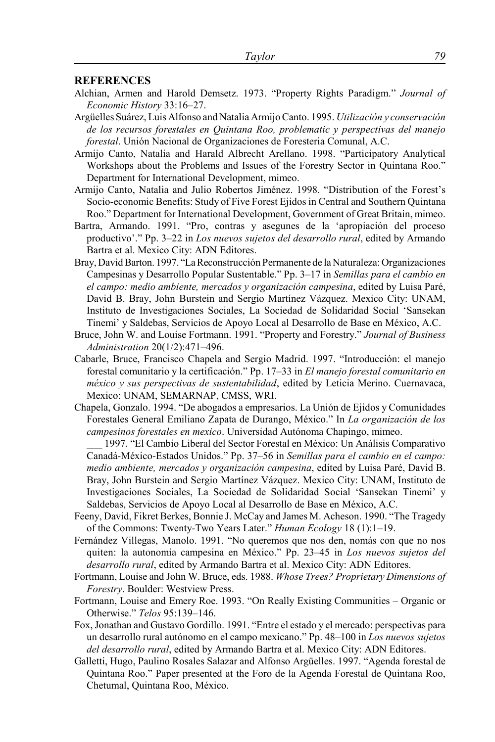#### **REFERENCES**

- Alchian, Armen and Harold Demsetz. 1973. "Property Rights Paradigm." *Journal of Economic History* 33:16–27.
- Argüelles Suárez, Luis Alfonso and Natalia Armijo Canto. 1995. *Utilización y conservación de los recursos forestales en Quintana Roo, problematic y perspectivas del manejo forestal*. Unión Nacional de Organizaciones de Foresteria Comunal, A.C.
- Armijo Canto, Natalia and Harald Albrecht Arellano. 1998. "Participatory Analytical Workshops about the Problems and Issues of the Forestry Sector in Quintana Roo." Department for International Development, mimeo.
- Armijo Canto, Natalia and Julio Robertos Jiménez. 1998. "Distribution of the Forest's Socio-economic Benefits: Study of Five Forest Ejidos in Central and Southern Quintana Roo." Department for International Development, Government of Great Britain, mimeo.
- Bartra, Armando. 1991. "Pro, contras y asegunes de la 'apropiación del proceso productivo'." Pp. 3–22 in *Los nuevos sujetos del desarrollo rural*, edited by Armando Bartra et al. Mexico City: ADN Editores.
- Bray, David Barton. 1997. "La Reconstrucción Permanente de la Naturaleza: Organizaciones Campesinas y Desarrollo Popular Sustentable." Pp. 3–17 in *Semillas para el cambio en el campo: medio ambiente, mercados y organización campesina*, edited by Luisa Paré, David B. Bray, John Burstein and Sergio Martínez Vázquez. Mexico City: UNAM, Instituto de Investigaciones Sociales, La Sociedad de Solidaridad Social 'Sansekan Tinemi' y Saldebas, Servicios de Apoyo Local al Desarrollo de Base en México, A.C.
- Bruce, John W. and Louise Fortmann. 1991. "Property and Forestry." *Journal of Business Administration* 20(1/2):471–496.
- Cabarle, Bruce, Francisco Chapela and Sergio Madrid. 1997. "Introducción: el manejo forestal comunitario y la certificación." Pp. 17–33 in *El manejo forestal comunitario en méxico y sus perspectivas de sustentabilidad*, edited by Leticia Merino. Cuernavaca, Mexico: UNAM, SEMARNAP, CMSS, WRI.
- Chapela, Gonzalo. 1994. "De abogados a empresarios. La Unión de Ejidos y Comunidades Forestales General Emiliano Zapata de Durango, México." In *La organización de los campesinos forestales en mexico*. Universidad Autónoma Chapingo, mimeo.
	- 1997. "El Cambio Liberal del Sector Forestal en México: Un Análisis Comparativo Canadá-México-Estados Unidos." Pp. 37–56 in *Semillas para el cambio en el campo: medio ambiente, mercados y organización campesina*, edited by Luisa Paré, David B. Bray, John Burstein and Sergio Martínez Vázquez. Mexico City: UNAM, Instituto de Investigaciones Sociales, La Sociedad de Solidaridad Social 'Sansekan Tinemi' y Saldebas, Servicios de Apoyo Local al Desarrollo de Base en México, A.C.
- Feeny, David, Fikret Berkes, Bonnie J. McCay and James M. Acheson. 1990. "The Tragedy of the Commons: Twenty-Two Years Later." *Human Ecology* 18 (1):1–19.
- Fernández Villegas, Manolo. 1991. "No queremos que nos den, nomás con que no nos quiten: la autonomía campesina en México." Pp. 23–45 in *Los nuevos sujetos del desarrollo rural*, edited by Armando Bartra et al. Mexico City: ADN Editores.
- Fortmann, Louise and John W. Bruce, eds. 1988. *Whose Trees? Proprietary Dimensions of Forestry*. Boulder: Westview Press.
- Fortmann, Louise and Emery Roe. 1993. "On Really Existing Communities Organic or Otherwise." *Telos* 95:139–146.
- Fox, Jonathan and Gustavo Gordillo. 1991. "Entre el estado y el mercado: perspectivas para un desarrollo rural autónomo en el campo mexicano." Pp. 48–100 in *Los nuevos sujetos del desarrollo rural*, edited by Armando Bartra et al. Mexico City: ADN Editores.
- Galletti, Hugo, Paulino Rosales Salazar and Alfonso Argüelles. 1997. "Agenda forestal de Quintana Roo." Paper presented at the Foro de la Agenda Forestal de Quintana Roo, Chetumal, Quintana Roo, México.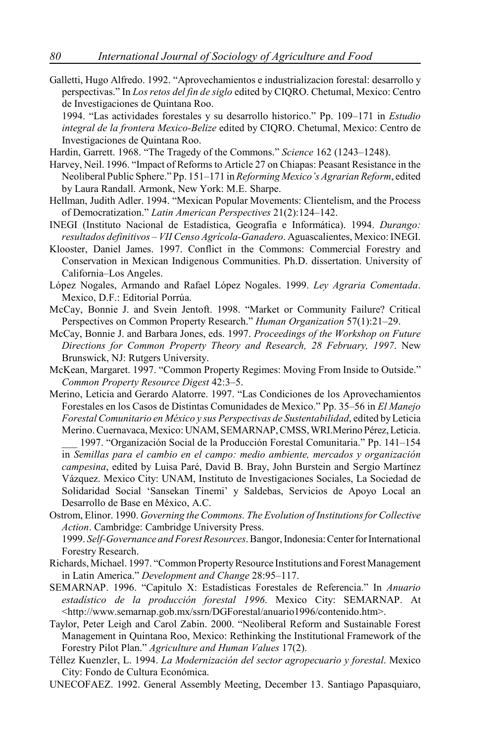Galletti, Hugo Alfredo. 1992. "Aprovechamientos e industrializacion forestal: desarrollo y perspectivas." In *Los retos del fin de siglo* edited by CIQRO. Chetumal, Mexico: Centro de Investigaciones de Quintana Roo.

1994. "Las actividades forestales y su desarrollo historico." Pp. 109–171 in *Estudio integral de la frontera Mexico-Belize* edited by CIQRO. Chetumal, Mexico: Centro de Investigaciones de Quintana Roo.

Hardin, Garrett. 1968. "The Tragedy of the Commons." *Science* 162 (1243–1248).

- Harvey, Neil. 1996. "Impact of Reforms to Article 27 on Chiapas: Peasant Resistance in the Neoliberal Public Sphere." Pp. 151–171 in *Reforming Mexico's Agrarian Reform*, edited by Laura Randall. Armonk, New York: M.E. Sharpe.
- Hellman, Judith Adler. 1994. "Mexican Popular Movements: Clientelism, and the Process of Democratization." *Latin American Perspectives* 21(2):124–142.
- INEGI (Instituto Nacional de Estadística, Geografía e Informática). 1994. *Durango: resultados definitivos – VII Censo Agrícola-Ganadero*. Aguascalientes, Mexico: INEGI.
- Klooster, Daniel James. 1997. Conflict in the Commons: Commercial Forestry and Conservation in Mexican Indigenous Communities. Ph.D. dissertation. University of California–Los Angeles.
- López Nogales, Armando and Rafael López Nogales. 1999. *Ley Agraria Comentada*. Mexico, D.F.: Editorial Porrúa.
- McCay, Bonnie J. and Svein Jentoft. 1998. "Market or Community Failure? Critical Perspectives on Common Property Research." *Human Organization* 57(1):21–29.
- McCay, Bonnie J. and Barbara Jones, eds. 1997. *Proceedings of the Workshop on Future Directions for Common Property Theory and Research, 28 February, 1997*. New Brunswick, NJ: Rutgers University.
- McKean, Margaret. 1997. "Common Property Regimes: Moving From Inside to Outside." *Common Property Resource Digest* 42:3–5.
- Merino, Leticia and Gerardo Alatorre. 1997. "Las Condiciones de los Aprovechamientos Forestales en los Casos de Distintas Comunidades de Mexico." Pp. 35–56 in *El Manejo Forestal Comunitario en México y sus Perspectivas de Sustentabilidad*, edited by Leticia Merino. Cuernavaca, Mexico: UNAM, SEMARNAP, CMSS, WRI.Merino Pérez, Leticia.

1997. "Organización Social de la Producción Forestal Comunitaria." Pp. 141-154 in *Semillas para el cambio en el campo: medio ambiente, mercados y organización campesina*, edited by Luisa Paré, David B. Bray, John Burstein and Sergio Martínez Vázquez. Mexico City: UNAM, Instituto de Investigaciones Sociales, La Sociedad de Solidaridad Social 'Sansekan Tinemi' y Saldebas, Servicios de Apoyo Local an Desarrollo de Base en México, A.C.

Ostrom, Elinor. 1990. *Governing the Commons. The Evolution of Institutions for Collective Action*. Cambridge: Cambridge University Press.

1999. *Self-Governance and Forest Resources*. Bangor, Indonesia: Center for International Forestry Research.

- Richards, Michael. 1997. "Common Property Resource Institutions and Forest Management in Latin America." *Development and Change* 28:95–117.
- SEMARNAP. 1996. "Capitulo X: Estadísticas Forestales de Referencia." In *Anuario estadístico de la producción forestal 1996*. Mexico City: SEMARNAP. At <http://www.semarnap.gob.mx/ssrn/DGForestal/anuario1996/contenido.htm>.
- Taylor, Peter Leigh and Carol Zabin. 2000. "Neoliberal Reform and Sustainable Forest Management in Quintana Roo, Mexico: Rethinking the Institutional Framework of the Forestry Pilot Plan." *Agriculture and Human Values* 17(2).
- Téllez Kuenzler, L. 1994. *La Modernización del sector agropecuario y forestal*. Mexico City: Fondo de Cultura Económica.
- UNECOFAEZ. 1992. General Assembly Meeting, December 13. Santiago Papasquiaro,